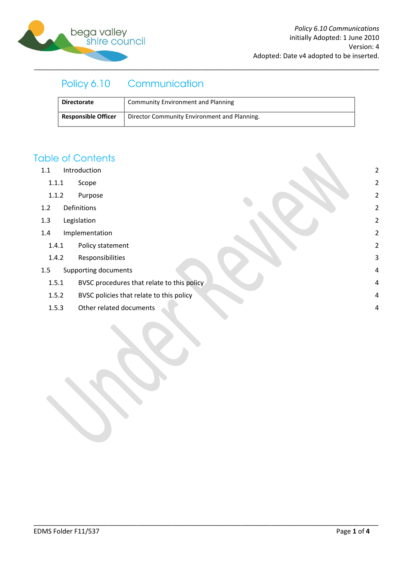

#### Policy 6.10 Communication

| <b>Directorate</b>         | Community Environment and Planning           |
|----------------------------|----------------------------------------------|
| <b>Responsible Officer</b> | Director Community Environment and Planning. |

## **Table of Contents**

- 1.1 [Introduction](#page-1-0) 2
	- 1.1.1 [Scope](#page-1-1) 2
	- 1.1.2 [Purpose](#page-1-2) 2
- 1.2 [Definitions](#page-1-3) 2
- 1.3 [Legislation](#page-1-4) 2
- 1.4 [Implementation](#page-1-5) 2
	- 1.4.1 [Policy statement](#page-1-6) 2
	- 1.4.2 [Responsibilities](#page-2-0) 3
- 1.5 [Supporting documents](#page-3-0) 4
	- 1.5.1 [BVSC procedures that relate to this policy](#page-3-1) **ACCOLLEGATE:** 4
	- 1.5.2 [BVSC policies that relate to this policy](#page-3-2) and the set of the set of the set of the set of the set of the set of the set of the set of the set of the set of the set of the set of the set of the set of the set of the se
	- 1.5.3 [Other related documents](#page-3-3) 4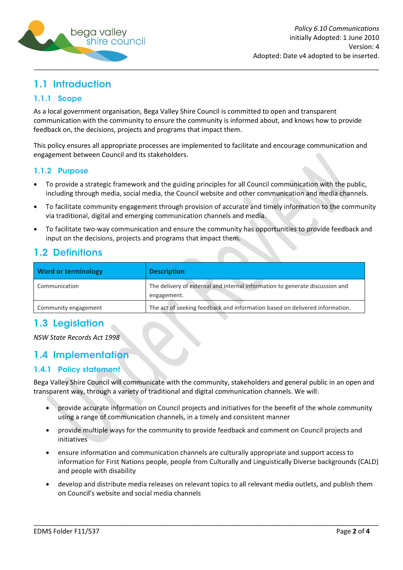

# <span id="page-1-0"></span>1.1 Introduction

### <span id="page-1-1"></span>1.1.1 Scope

As a local government organisation, Bega Valley Shire Council is committed to open and transparent communication with the community to ensure the community is informed about, and knows how to provide feedback on, the decisions, projects and programs that impact them.

This policy ensures all appropriate processes are implemented to facilitate and encourage communication and engagement between Council and its stakeholders.

### <span id="page-1-2"></span>1.1.2 Purpose

- To provide a strategic framework and the guiding principles for all Council communication with the public, including through media, social media, the Council website and other communication and media channels.
- To facilitate community engagement through provision of accurate and timely information to the community via traditional, digital and emerging communication channels and media.
- To facilitate two-way communication and ensure the community has opportunities to provide feedback and input on the decisions, projects and programs that impact them.

## <span id="page-1-3"></span>**1.2 Definitions**

| <b>Word or terminology</b> | <b>Description</b>                                                                          |
|----------------------------|---------------------------------------------------------------------------------------------|
| Communication              | The delivery of external and internal information to generate discussion and<br>engagement. |
| Community engagement       | The act of seeking feedback and information based on delivered information.                 |

## <span id="page-1-4"></span>1.3 Legislation

*NSW State Records Act 1998*

## <span id="page-1-5"></span>1.4 Implementation

### <span id="page-1-6"></span>1.4.1 Policy statement

Bega Valley Shire Council will communicate with the community, stakeholders and general public in an open and transparent way, through a variety of traditional and digital communication channels. We will:

- provide accurate information on Council projects and initiatives for the benefit of the whole community  $\bullet$ using a range of communication channels, in a timely and consistent manner
- provide multiple ways for the community to provide feedback and comment on Council projects and initiatives
- ensure information and communication channels are culturally appropriate and support access to  $\bullet$ information for First Nations people, people from Culturally and Linguistically Diverse backgrounds (CALD) and people with disability
- develop and distribute media releases on relevant topics to all relevant media outlets, and publish them on Council's website and social media channels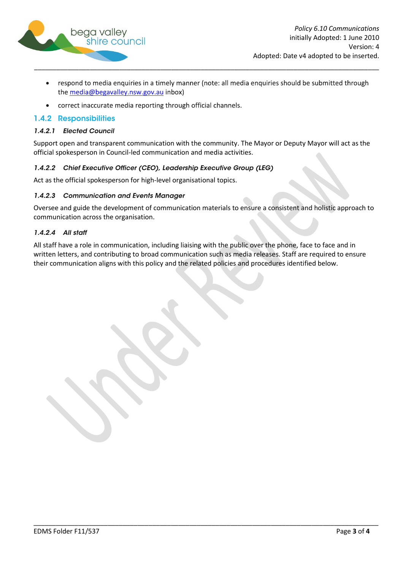

- respond to media enquiries in a timely manner (note: all media enquiries should be submitted through  $\bullet$ the media@begavalley.nsw.gov.au inbox)
- correct inaccurate media reporting through official channels.  $\bullet$

### <span id="page-2-0"></span>1.4.2 Responsibilities

#### 1.4.2.1 Elected Council

Support open and transparent communication with the community. The Mayor or Deputy Mayor will act as the official spokesperson in Council-led communication and media activities.

### 1.4.2.2 Chief Executive Officer (CEO), Leadership Executive Group (LEG)

Act as the official spokesperson for high-level organisational topics.

#### 1.4.2.3 Communication and Events Manager

Oversee and guide the development of communication materials to ensure a consistent and holistic approach to communication across the organisation.

#### 1.4.2.4 All staff

All staff have a role in communication, including liaising with the public over the phone, face to face and in written letters, and contributing to broad communication such as media releases. Staff are required to ensure their communication aligns with this policy and the related policies and procedures identified below.